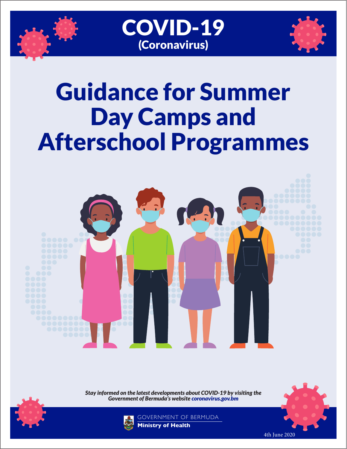





# Guidance for Summer Day Camps and Afterschool Programmes



*Stay informed on the latest developments about COVID-19 by visiting the Government of Bermuda's website coronavirus.gov.bm*





GOVERNMENT OF BERMUDA **Ministry of Health**

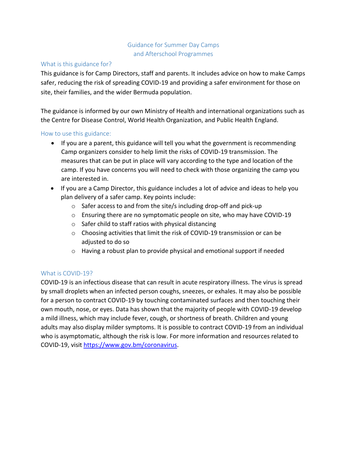# Guidance for Summer Day Camps and Afterschool Programmes

#### What is this guidance for?

This guidance is for Camp Directors, staff and parents. It includes advice on how to make Camps safer, reducing the risk of spreading COVID-19 and providing a safer environment for those on site, their families, and the wider Bermuda population.

The guidance is informed by our own Ministry of Health and international organizations such as the Centre for Disease Control, World Health Organization, and Public Health England.

#### How to use this guidance:

- If you are a parent, this guidance will tell you what the government is recommending Camp organizers consider to help limit the risks of COVID-19 transmission. The measures that can be put in place will vary according to the type and location of the camp. If you have concerns you will need to check with those organizing the camp you are interested in.
- If you are a Camp Director, this guidance includes a lot of advice and ideas to help you plan delivery of a safer camp. Key points include:
	- o Safer access to and from the site/s including drop-off and pick-up
	- o Ensuring there are no symptomatic people on site, who may have COVID-19
	- o Safer child to staff ratios with physical distancing
	- $\circ$  Choosing activities that limit the risk of COVID-19 transmission or can be adjusted to do so
	- $\circ$  Having a robust plan to provide physical and emotional support if needed

#### What is COVID-19?

COVID-19 is an infectious disease that can result in acute respiratory illness. The virus is spread by small droplets when an infected person coughs, sneezes, or exhales. It may also be possible for a person to contract COVID-19 by touching contaminated surfaces and then touching their own mouth, nose, or eyes. Data has shown that the majority of people with COVID-19 develop a mild illness, which may include fever, cough, or shortness of breath. Children and young adults may also display milder symptoms. It is possible to contract COVID-19 from an individual who is asymptomatic, although the risk is low. For more information and resources related to COVID-19, visit [https://www.gov.bm/coronavirus.](https://www.gov.bm/coronavirus)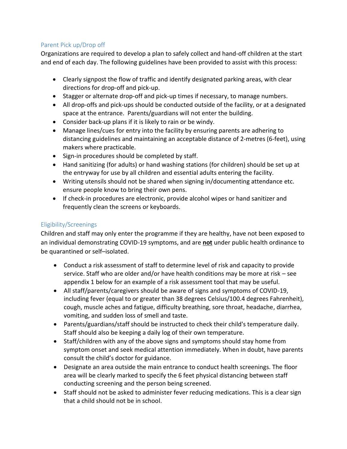# Parent Pick up/Drop off

Organizations are required to develop a plan to safely collect and hand-off children at the start and end of each day. The following guidelines have been provided to assist with this process:

- Clearly signpost the flow of traffic and identify designated parking areas, with clear directions for drop-off and pick-up.
- Stagger or alternate drop-off and pick-up times if necessary, to manage numbers.
- All drop-offs and pick-ups should be conducted outside of the facility, or at a designated space at the entrance. Parents/guardians will not enter the building.
- Consider back-up plans if it is likely to rain or be windy.
- Manage lines/cues for entry into the facility by ensuring parents are adhering to distancing guidelines and maintaining an acceptable distance of 2-metres (6-feet), using makers where practicable.
- Sign-in procedures should be completed by staff.
- Hand sanitizing (for adults) or hand washing stations (for children) should be set up at the entryway for use by all children and essential adults entering the facility.
- Writing utensils should not be shared when signing in/documenting attendance etc. ensure people know to bring their own pens.
- If check-in procedures are electronic, provide alcohol wipes or hand sanitizer and frequently clean the screens or keyboards.

# Eligibility/Screenings

Children and staff may only enter the programme if they are healthy, have not been exposed to an individual demonstrating COVID-19 symptoms, and are **not** under public health ordinance to be quarantined or self–isolated.

- Conduct a risk assessment of staff to determine level of risk and capacity to provide service. Staff who are older and/or have health conditions may be more at risk – see appendix 1 below for an example of a risk assessment tool that may be useful.
- All staff/parents/caregivers should be aware of signs and symptoms of COVID-19, including fever (equal to or greater than 38 degrees Celsius/100.4 degrees Fahrenheit), cough, muscle aches and fatigue, difficulty breathing, sore throat, headache, diarrhea, vomiting, and sudden loss of smell and taste.
- Parents/guardians/staff should be instructed to check their child's temperature daily. Staff should also be keeping a daily log of their own temperature.
- Staff/children with any of the above signs and symptoms should stay home from symptom onset and seek medical attention immediately. When in doubt, have parents consult the child's doctor for guidance.
- Designate an area outside the main entrance to conduct health screenings. The floor area will be clearly marked to specify the 6 feet physical distancing between staff conducting screening and the person being screened.
- Staff should not be asked to administer fever reducing medications. This is a clear sign that a child should not be in school.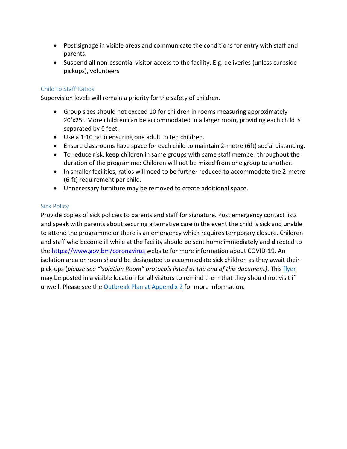- Post signage in visible areas and communicate the conditions for entry with staff and parents.
- Suspend all non-essential visitor access to the facility. E.g. deliveries (unless curbside pickups), volunteers

#### Child to Staff Ratios

Supervision levels will remain a priority for the safety of children.

- Group sizes should not exceed 10 for children in rooms measuring approximately 20'x25'. More children can be accommodated in a larger room, providing each child is separated by 6 feet.
- Use a 1:10 ratio ensuring one adult to ten children.
- Ensure classrooms have space for each child to maintain 2-metre (6ft) social distancing.
- To reduce risk, keep children in same groups with same staff member throughout the duration of the programme: Children will not be mixed from one group to another.
- In smaller facilities, ratios will need to be further reduced to accommodate the 2-metre (6-ft) requirement per child.
- Unnecessary furniture may be removed to create additional space.

#### Sick Policy

Provide copies of sick policies to parents and staff for signature. Post emergency contact lists and speak with parents about securing alternative care in the event the child is sick and unable to attend the programme or there is an emergency which requires temporary closure. Children and staff who become ill while at the facility should be sent home immediately and directed to the<https://www.gov.bm/coronavirus>website for more information about COVID-19. An isolation area or room should be designated to accommodate sick children as they await their pick-ups (*please see "Isolation Room" protocols listed at the end of this document)*. This [flyer](https://www.gov.bm/sites/default/files/11436-Coronavirus-2020_Do-you-have-%20a-cold-cough-or-fever_Poster.pdf) may be posted in a visible location for all visitors to remind them that they should not visit if unwell. Please see the **Outbreak Plan at Appendix 2** for more information.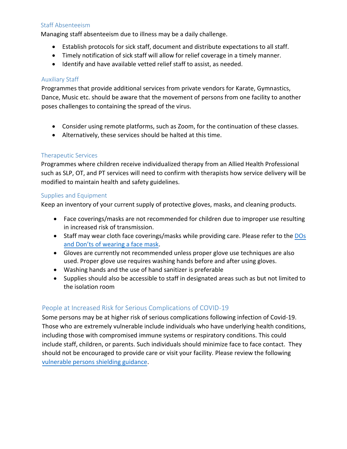#### Staff Absenteeism

Managing staff absenteeism due to illness may be a daily challenge.

- Establish protocols for sick staff, document and distribute expectations to all staff.
- Timely notification of sick staff will allow for relief coverage in a timely manner.
- Identify and have available vetted relief staff to assist, as needed.

#### Auxiliary Staff

Programmes that provide additional services from private vendors for Karate, Gymnastics, Dance, Music etc. should be aware that the movement of persons from one facility to another poses challenges to containing the spread of the virus.

- Consider using remote platforms, such as Zoom, for the continuation of these classes.
- Alternatively, these services should be halted at this time.

# Therapeutic Services

Programmes where children receive individualized therapy from an Allied Health Professional such as SLP, OT, and PT services will need to confirm with therapists how service delivery will be modified to maintain health and safety guidelines.

#### Supplies and Equipment

Keep an inventory of your current supply of protective gloves, masks, and cleaning products.

- Face coverings/masks are not recommended for children due to improper use resulting in increased risk of transmission.
- Staff may wear cloth face coverings/masks while providing care. Please refer to the DOs and Don'ts of wearing a face mask.
- Gloves are currently not recommended unless proper glove use techniques are also [used. Proper glove use requires washing](https://www.gov.bm/sites/default/files/Dos_and_Donts_of_Mask_Wearing_v1.pdf) hands before and after using gloves.
- Washing hands and the use of hand sanitizer is preferable
- Supplies should also be accessible to staff in designated areas such as but not limited to the isolation room

# People at Increased Risk for Serious Complications of COVID-19

Some persons may be at higher risk of serious complications following infection of Covid-19. Those who are extremely vulnerable include individuals who have underlying health conditions, including those with compromised immune systems or respiratory conditions. This could include staff, children, or parents. Such individuals should minimize face to face contact. They should not be encouraged to provide care or visit your facility. Please review the following vulnerable persons shielding guidance.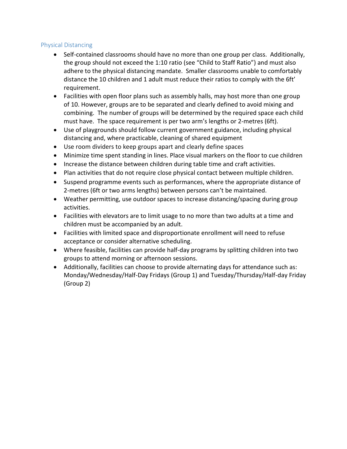#### Physical Distancing

- Self-contained classrooms should have no more than one group per class. Additionally, the group should not exceed the 1:10 ratio (see "Child to Staff Ratio") and must also adhere to the physical distancing mandate. Smaller classrooms unable to comfortably distance the 10 children and 1 adult must reduce their ratios to comply with the 6ft' requirement.
- Facilities with open floor plans such as assembly halls, may host more than one group of 10. However, groups are to be separated and clearly defined to avoid mixing and combining. The number of groups will be determined by the required space each child must have. The space requirement is per two arm's lengths or 2-metres (6ft).
- Use of playgrounds should follow current government guidance, including physical distancing and, where practicable, cleaning of shared equipment
- Use room dividers to keep groups apart and clearly define spaces
- Minimize time spent standing in lines. Place visual markers on the floor to cue children
- Increase the distance between children during table time and craft activities.
- Plan activities that do not require close physical contact between multiple children.
- Suspend programme events such as performances, where the appropriate distance of 2-metres (6ft or two arms lengths) between persons can't be maintained.
- Weather permitting, use outdoor spaces to increase distancing/spacing during group activities.
- Facilities with elevators are to limit usage to no more than two adults at a time and children must be accompanied by an adult.
- Facilities with limited space and disproportionate enrollment will need to refuse acceptance or consider alternative scheduling.
- Where feasible, facilities can provide half-day programs by splitting children into two groups to attend morning or afternoon sessions.
- Additionally, facilities can choose to provide alternating days for attendance such as: Monday/Wednesday/Half-Day Fridays (Group 1) and Tuesday/Thursday/Half-day Friday (Group 2)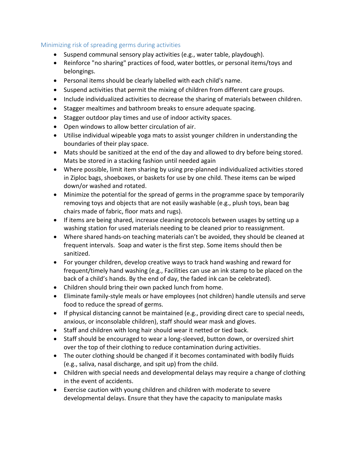#### Minimizing risk of spreading germs during activities

- Suspend communal sensory play activities (e.g., water table, playdough).
- Reinforce "no sharing" practices of food, water bottles, or personal items/toys and belongings.
- Personal items should be clearly labelled with each child's name.
- Suspend activities that permit the mixing of children from different care groups.
- Include individualized activities to decrease the sharing of materials between children.
- Stagger mealtimes and bathroom breaks to ensure adequate spacing.
- Stagger outdoor play times and use of indoor activity spaces.
- Open windows to allow better circulation of air.
- Utilise individual wipeable yoga mats to assist younger children in understanding the boundaries of their play space.
- Mats should be sanitized at the end of the day and allowed to dry before being stored. Mats be stored in a stacking fashion until needed again
- Where possible, limit item sharing by using pre-planned individualized activities stored in Ziploc bags, shoeboxes, or baskets for use by one child. These items can be wiped down/or washed and rotated.
- Minimize the potential for the spread of germs in the programme space by temporarily removing toys and objects that are not easily washable (e.g., plush toys, bean bag chairs made of fabric, floor mats and rugs).
- If items are being shared, increase cleaning protocols between usages by setting up a washing station for used materials needing to be cleaned prior to reassignment.
- Where shared hands-on teaching materials can't be avoided, they should be cleaned at frequent intervals. Soap and water is the first step. Some items should then be sanitized.
- For younger children, develop creative ways to track hand washing and reward for frequent/timely hand washing (e.g., Facilities can use an ink stamp to be placed on the back of a child's hands. By the end of day, the faded ink can be celebrated).
- Children should bring their own packed lunch from home.
- Eliminate family-style meals or have employees (not children) handle utensils and serve food to reduce the spread of germs.
- If physical distancing cannot be maintained (e.g., providing direct care to special needs, anxious, or inconsolable children), staff should wear mask and gloves.
- Staff and children with long hair should wear it netted or tied back.
- Staff should be encouraged to wear a long-sleeved, button down, or oversized shirt over the top of their clothing to reduce contamination during activities.
- The outer clothing should be changed if it becomes contaminated with bodily fluids (e.g., saliva, nasal discharge, and spit up) from the child.
- Children with special needs and developmental delays may require a change of clothing in the event of accidents.
- Exercise caution with young children and children with moderate to severe developmental delays. Ensure that they have the capacity to manipulate masks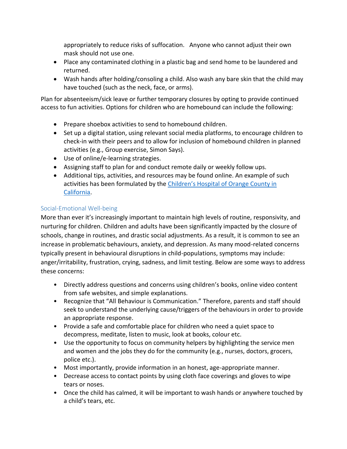appropriately to reduce risks of suffocation. Anyone who cannot adjust their own mask should not use one.

- Place any contaminated clothing in a plastic bag and send home to be laundered and returned.
- Wash hands after holding/consoling a child. Also wash any bare skin that the child may have touched (such as the neck, face, or arms).

Plan for absenteeism/sick leave or further temporary closures by opting to provide continued access to fun activities. Options for children who are homebound can include the following:

- Prepare shoebox activities to send to homebound children.
- Set up a digital station, using relevant social media platforms, to encourage children to check-in with their peers and to allow for inclusion of homebound children in planned activities (e.g., Group exercise, Simon Says).
- Use of online/e-learning strategies.
- Assigning staff to plan for and conduct remote daily or weekly follow ups.
- Additional tips, activities, and resources may be found online. An example of such activities has been formulated by the [Children's Hospital of Orange County in](https://blog.chocchildrens.org/activity-ideas-for-kids-during-covid-19/) [California.](https://blog.chocchildrens.org/activity-ideas-for-kids-during-covid-19/)

# Social-Emotional Well-being

More than ever it's increasingly important to maintain high levels of routine, responsivity, and nurturing for children. Children and adults have been significantly impacted by the closure of schools, change in routines, and drastic social adjustments. As a result, it is common to see an increase in problematic behaviours, anxiety, and depression. As many mood-related concerns typically present in behavioural disruptions in child-populations, symptoms may include: anger/irritability, frustration, crying, sadness, and limit testing. Below are some ways to address these concerns:

- Directly address questions and concerns using children's books, online video content from safe websites, and simple explanations.
- Recognize that "All Behaviour is Communication." Therefore, parents and staff should seek to understand the underlying cause/triggers of the behaviours in order to provide an appropriate response.
- Provide a safe and comfortable place for children who need a quiet space to decompress, meditate, listen to music, look at books, colour etc.
- Use the opportunity to focus on community helpers by highlighting the service men and women and the jobs they do for the community (e.g., nurses, doctors, grocers, police etc.).
- Most importantly, provide information in an honest, age-appropriate manner.
- Decrease access to contact points by using cloth face coverings and gloves to wipe tears or noses.
- Once the child has calmed, it will be important to wash hands or anywhere touched by a child's tears, etc.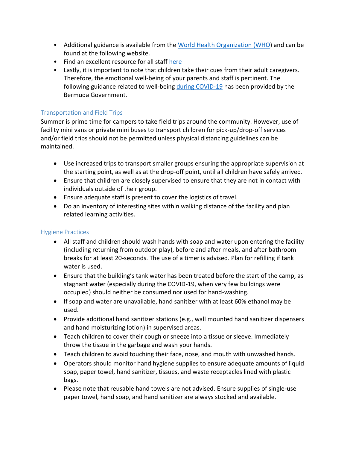- Additional guidance is available from the [World Health Organization \(WHO\)](https://www.who.int/docs/default-source/coronaviruse/helping-children-cope-with-stress-print.pdf?sfvrsn=f3a063ff_2) and can be found at the following website.
- Find an excellent resource for all staff [here](https://marymered.wordpress.com/2020/04/14/five-ways-to-help-children-heal-when-schools-reopen/)
- Lastly, it is important to note that children take their cues from their adult caregivers. Therefore, the emotional well-being of your parents and staff is pertinent. The following guidance related to well-being [during COVID-19](https://www.gov.bm/sites/default/files/Mental-Health-Guidance_0.pdf) has been provided by the Bermuda Government.

# Transportation and Field Trips

Summer is prime time for campers to take field trips around the community. However, use of facility mini vans or private mini buses to transport children for pick-up/drop-off services and/or field trips should not be permitted unless physical distancing guidelines can be maintained.

- Use increased trips to transport smaller groups ensuring the appropriate supervision at the starting point, as well as at the drop-off point, until all children have safely arrived.
- Ensure that children are closely supervised to ensure that they are not in contact with individuals outside of their group.
- Ensure adequate staff is present to cover the logistics of travel.
- Do an inventory of interesting sites within walking distance of the facility and plan related learning activities.

#### Hygiene Practices

- All staff and children should wash hands with soap and water upon entering the facility (including returning from outdoor play), before and after meals, and after bathroom breaks for at least 20-seconds. The use of a timer is advised. Plan for refilling if tank water is used.
- Ensure that the building's tank water has been treated before the start of the camp, as stagnant water (especially during the COVID-19, when very few buildings were occupied) should neither be consumed nor used for hand-washing.
- If soap and water are unavailable, hand sanitizer with at least 60% ethanol may be used.
- Provide additional hand sanitizer stations (e.g., wall mounted hand sanitizer dispensers and hand moisturizing lotion) in supervised areas.
- Teach children to cover their cough or sneeze into a tissue or sleeve. Immediately throw the tissue in the garbage and wash your hands.
- Teach children to avoid touching their face, nose, and mouth with unwashed hands.
- Operators should monitor hand hygiene supplies to ensure adequate amounts of liquid soap, paper towel, hand sanitizer, tissues, and waste receptacles lined with plastic bags.
- Please note that reusable hand towels are not advised. Ensure supplies of single-use paper towel, hand soap, and hand sanitizer are always stocked and available.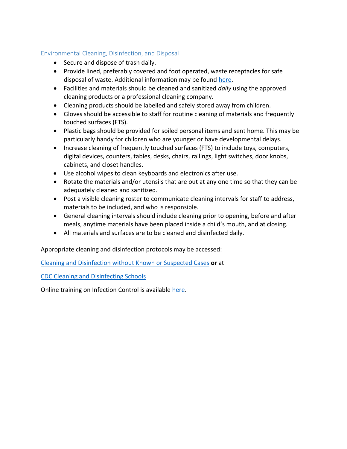## Environmental Cleaning, Disinfection, and Disposal

- Secure and dispose of trash daily.
- Provide lined, preferably covered and foot operated, waste receptacles for safe disposal of waste. Additional information may be found [here.](https://www.gov.bm/sites/default/files/10049_Garbage_and_Recycling_Calendar_PORTAL3.pdf)
- Facilities and materials should be cleaned and sanitized *daily* using the approved cleaning products or a professional cleaning company.
- Cleaning products should be labelled and safely stored away from children.
- Gloves should be accessible to staff for routine cleaning of materials and frequently touched surfaces (FTS).
- Plastic bags should be provided for soiled personal items and sent home. This may be particularly handy for children who are younger or have developmental delays.
- Increase cleaning of frequently touched surfaces (FTS) to include toys, computers, digital devices, counters, tables, desks, chairs, railings, light switches, door knobs, cabinets, and closet handles.
- Use alcohol wipes to clean keyboards and electronics after use.
- Rotate the materials and/or utensils that are out at any one time so that they can be adequately cleaned and sanitized.
- Post a visible cleaning roster to communicate cleaning intervals for staff to address, materials to be included, and who is responsible.
- General cleaning intervals should include cleaning prior to opening, before and after meals, anytime materials have been placed inside a child's mouth, and at closing.
- All materials and surfaces are to be cleaned and disinfected daily.

Appropriate cleaning and disinfection protocols may be accessed:

[Cleaning and Disinfection without Known or Suspected Cases](https://www.gov.bm/sites/default/files/Cleaning-Disinfection-Without-Known-or-Suspected-Cases.pdf) **or** at

[CDC Cleaning and Disinfecting Schools](https://www.cdc.gov/flu/pdf/freeresources/updated/cleaning_disinfecting_schools.pdf.) 

Online training on Infection Control is available [here.](https://www.gov.bm/infection-prevention-and-control-training)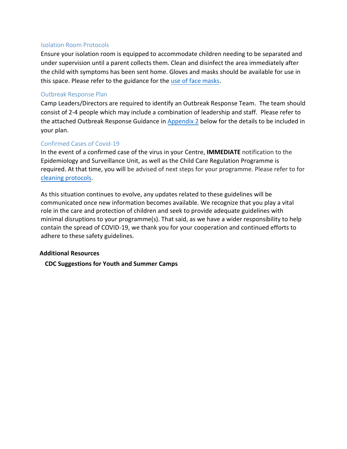#### Isolation Room Protocols

Ensure your isolation room is equipped to accommodate children needing to be separated and under supervision until a parent collects them. Clean and disinfect the area immediately after the child with symptoms has been sent home. Gloves and masks should be available for use in this space. Please refer to the guidance for the [use of face masks.](https://www.gov.bm/sites/default/files/Face%20Mask_Flyer.pdf)

#### Outbreak Response Plan

Camp Leaders/Directors are required to identify an Outbreak Response Team. The team should consist of 2-4 people which may include a combination of leadership and staff. Please refer to the attached Outbreak Response Guidance i[n Appendix 2](#page-12-0) below for the details to be included in your plan.

#### Confirmed Cases of Covid-19

In the event of a confirmed case of the virus in your Centre, **IMMEDIATE** notification to the Epidemiology and Surveillance Unit, as well as the Child Care Regulation Programme is required. At that time, you will be advised of next steps for your programme. Please refer to for [cleaning protocols.](https://www.gov.bm/sites/default/files/Cleaning-Disinfection-With-Known-or-Suspected-Cases.pdf)

As this situation continues to evolve, any updates related to these guidelines will be communicated once new information becomes available. We recognize that you play a vital role in the care and protection of children and seek to provide adequate guidelines with minimal disruptions to your programme(s). That said, as we have a wider responsibility to help contain the spread of COVID-19, we thank you for your cooperation and continued efforts to adhere to these safety guidelines.

#### **Additional Resources**

**[CDC Suggestions for Youth and Summer Camps](https://www.cdc.gov/coronavirus/2019-ncov/community/schools-childcare/summer-camps.html?deliveryName=USCDC_2067-DM31266)**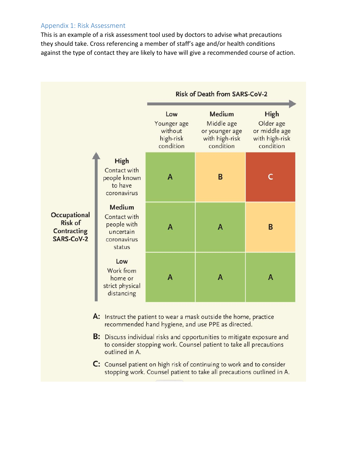#### Appendix 1: Risk Assessment

This is an example of a risk assessment tool used by doctors to advise what precautions they should take. Cross referencing a member of staff's age and/or health conditions against the type of contact they are likely to have will give a recommended course of action.

|                                                                    |                                                                                    | <b>Risk of Death from SARS-CoV-2</b>                    |                                                                              |                                                                   |
|--------------------------------------------------------------------|------------------------------------------------------------------------------------|---------------------------------------------------------|------------------------------------------------------------------------------|-------------------------------------------------------------------|
|                                                                    |                                                                                    | Low<br>Younger age<br>without<br>high-risk<br>condition | <b>Medium</b><br>Middle age<br>or younger age<br>with high-risk<br>condition | High<br>Older age<br>or middle age<br>with high-risk<br>condition |
| Occupational<br><b>Risk of</b><br><b>Contracting</b><br>SARS-CoV-2 | <b>High</b><br>Contact with<br>people known<br>to have<br>coronavirus              | A                                                       | B                                                                            | г                                                                 |
|                                                                    | <b>Medium</b><br>Contact with<br>people with<br>uncertain<br>coronavirus<br>status | A                                                       | A                                                                            | B                                                                 |
|                                                                    | Low<br>Work from<br>home or<br>strict physical<br>distancing                       | A                                                       | A                                                                            | A                                                                 |

- A: Instruct the patient to wear a mask outside the home, practice recommended hand hygiene, and use PPE as directed.
- B: Discuss individual risks and opportunities to mitigate exposure and to consider stopping work. Counsel patient to take all precautions outlined in A.
- C: Counsel patient on high risk of continuing to work and to consider stopping work. Counsel patient to take all precautions outlined in A.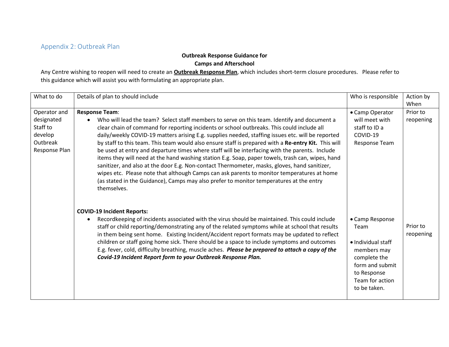# Appendix 2: Outbreak Plan

# **Outbreak Response Guidance for**

**Camps and Afterschool** 

Any Centre wishing to reopen will need to create an **Outbreak Response Plan**, which includes short-term closure procedures. Please refer to this guidance which will assist you with formulating an appropriate plan.

<span id="page-12-0"></span>

| What to do                                                                     | Details of plan to should include                                                                                                                                                                                                                                                                                                                                                                                                                                                                                                                                                                                                                                                                                                                                                                                                                                                                                                            | Who is responsible                                                                                                                                | Action by<br>When     |
|--------------------------------------------------------------------------------|----------------------------------------------------------------------------------------------------------------------------------------------------------------------------------------------------------------------------------------------------------------------------------------------------------------------------------------------------------------------------------------------------------------------------------------------------------------------------------------------------------------------------------------------------------------------------------------------------------------------------------------------------------------------------------------------------------------------------------------------------------------------------------------------------------------------------------------------------------------------------------------------------------------------------------------------|---------------------------------------------------------------------------------------------------------------------------------------------------|-----------------------|
| Operator and<br>designated<br>Staff to<br>develop<br>Outbreak<br>Response Plan | <b>Response Team:</b><br>Who will lead the team? Select staff members to serve on this team. Identify and document a<br>clear chain of command for reporting incidents or school outbreaks. This could include all<br>daily/weekly COVID-19 matters arising E.g. supplies needed, staffing issues etc. will be reported<br>by staff to this team. This team would also ensure staff is prepared with a Re-entry Kit. This will<br>be used at entry and departure times where staff will be interfacing with the parents. Include<br>items they will need at the hand washing station E.g. Soap, paper towels, trash can, wipes, hand<br>sanitizer, and also at the door E.g. Non-contact Thermometer, masks, gloves, hand sanitizer,<br>wipes etc. Please note that although Camps can ask parents to monitor temperatures at home<br>(as stated in the Guidance), Camps may also prefer to monitor temperatures at the entry<br>themselves. | • Camp Operator<br>will meet with<br>staff to ID a<br>COVID-19<br>Response Team                                                                   | Prior to<br>reopening |
|                                                                                | <b>COVID-19 Incident Reports:</b><br>Recordkeeping of incidents associated with the virus should be maintained. This could include<br>staff or child reporting/demonstrating any of the related symptoms while at school that results<br>in them being sent home. Existing Incident/Accident report formats may be updated to reflect<br>children or staff going home sick. There should be a space to include symptoms and outcomes<br>E.g. fever, cold, difficulty breathing, muscle aches. Please be prepared to attach a copy of the<br>Covid-19 Incident Report form to your Outbreak Response Plan.                                                                                                                                                                                                                                                                                                                                    | • Camp Response<br>Team<br>• Individual staff<br>members may<br>complete the<br>form and submit<br>to Response<br>Team for action<br>to be taken. | Prior to<br>reopening |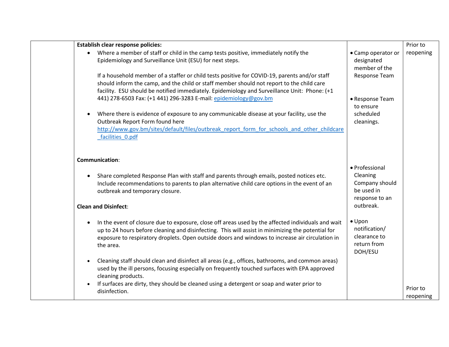| <b>Establish clear response policies:</b>                                                                      |                             | Prior to  |
|----------------------------------------------------------------------------------------------------------------|-----------------------------|-----------|
| Where a member of staff or child in the camp tests positive, immediately notify the<br>$\bullet$               | • Camp operator or          | reopening |
| Epidemiology and Surveillance Unit (ESU) for next steps.                                                       | designated                  |           |
|                                                                                                                | member of the               |           |
| If a household member of a staffer or child tests positive for COVID-19, parents and/or staff                  | Response Team               |           |
| should inform the camp, and the child or staff member should not report to the child care                      |                             |           |
| facility. ESU should be notified immediately. Epidemiology and Surveillance Unit: Phone: (+1                   |                             |           |
| 441) 278-6503 Fax: (+1 441) 296-3283 E-mail: epidemiology@gov.bm                                               | • Response Team             |           |
|                                                                                                                | to ensure                   |           |
| Where there is evidence of exposure to any communicable disease at your facility, use the<br>$\bullet$         | scheduled                   |           |
| Outbreak Report Form found here                                                                                | cleanings.                  |           |
| http://www.gov.bm/sites/default/files/outbreak report form for schools and other childcare                     |                             |           |
| facilities 0.pdf                                                                                               |                             |           |
|                                                                                                                |                             |           |
|                                                                                                                |                             |           |
| <b>Communication:</b>                                                                                          |                             |           |
|                                                                                                                | · Professional              |           |
| Share completed Response Plan with staff and parents through emails, posted notices etc.<br>$\bullet$          | Cleaning                    |           |
| Include recommendations to parents to plan alternative child care options in the event of an                   | Company should              |           |
| outbreak and temporary closure.                                                                                | be used in                  |           |
|                                                                                                                | response to an<br>outbreak. |           |
| <b>Clean and Disinfect:</b>                                                                                    |                             |           |
| In the event of closure due to exposure, close off areas used by the affected individuals and wait             | $\bullet$ Upon              |           |
| $\bullet$<br>up to 24 hours before cleaning and disinfecting. This will assist in minimizing the potential for | notification/               |           |
| exposure to respiratory droplets. Open outside doors and windows to increase air circulation in                | clearance to                |           |
| the area.                                                                                                      | return from                 |           |
|                                                                                                                | DOH/ESU                     |           |
| Cleaning staff should clean and disinfect all areas (e.g., offices, bathrooms, and common areas)<br>$\bullet$  |                             |           |
| used by the ill persons, focusing especially on frequently touched surfaces with EPA approved                  |                             |           |
| cleaning products.                                                                                             |                             |           |
| If surfaces are dirty, they should be cleaned using a detergent or soap and water prior to<br>$\bullet$        |                             |           |
| disinfection.                                                                                                  |                             | Prior to  |
|                                                                                                                |                             | reopening |